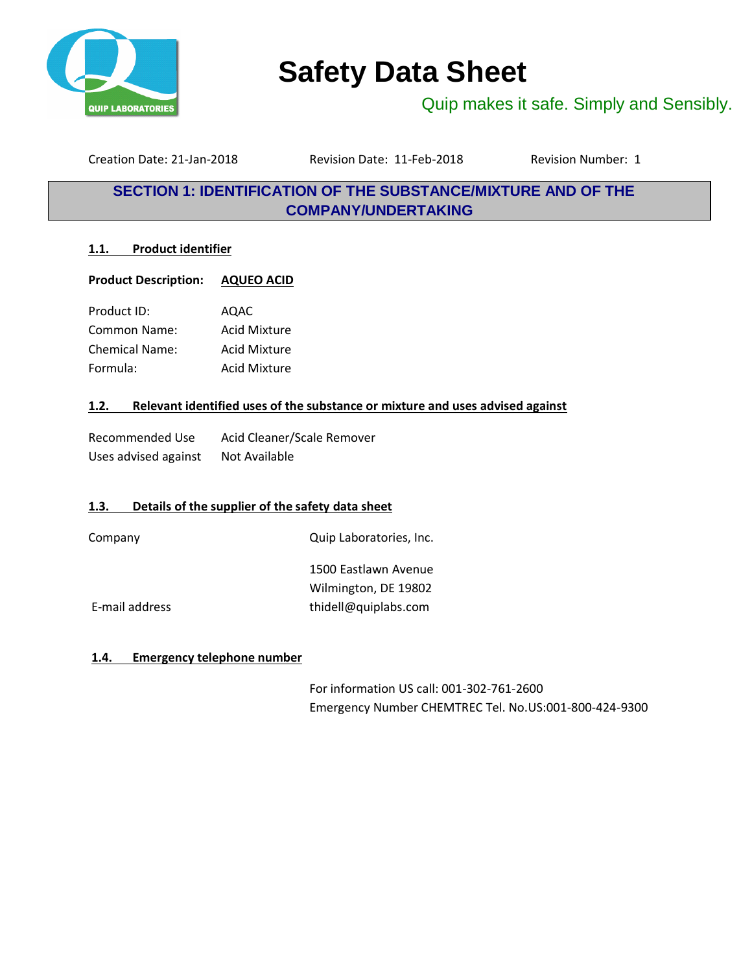

# **Safety Data Sheet**

Quip makes it safe. Simply and Sensibly.

Creation Date: 21-Jan-2018 Revision Date: 11-Feb-2018 Revision Number: 1

### **SECTION 1: IDENTIFICATION OF THE SUBSTANCE/MIXTURE AND OF THE COMPANY/UNDERTAKING**

### **1.1. Product identifier**

**Product Description: AQUEO ACID**

Product ID: AQAC Common Name: Acid Mixture Chemical Name: Acid Mixture Formula: Acid Mixture

### **1.2. Relevant identified uses of the substance or mixture and uses advised against**

| Recommended Use      | Acid Cleaner/Scale Remover |
|----------------------|----------------------------|
| Uses advised against | Not Available              |

### **1.3. Details of the supplier of the safety data sheet**

Company Quip Laboratories, Inc.

1500 Eastlawn Avenue Wilmington, DE 19802 E-mail address thidell@quiplabs.com

### **1.4. Emergency telephone number**

For information US call: 001-302-761-2600 Emergency Number CHEMTREC Tel. No.US:001-800-424-9300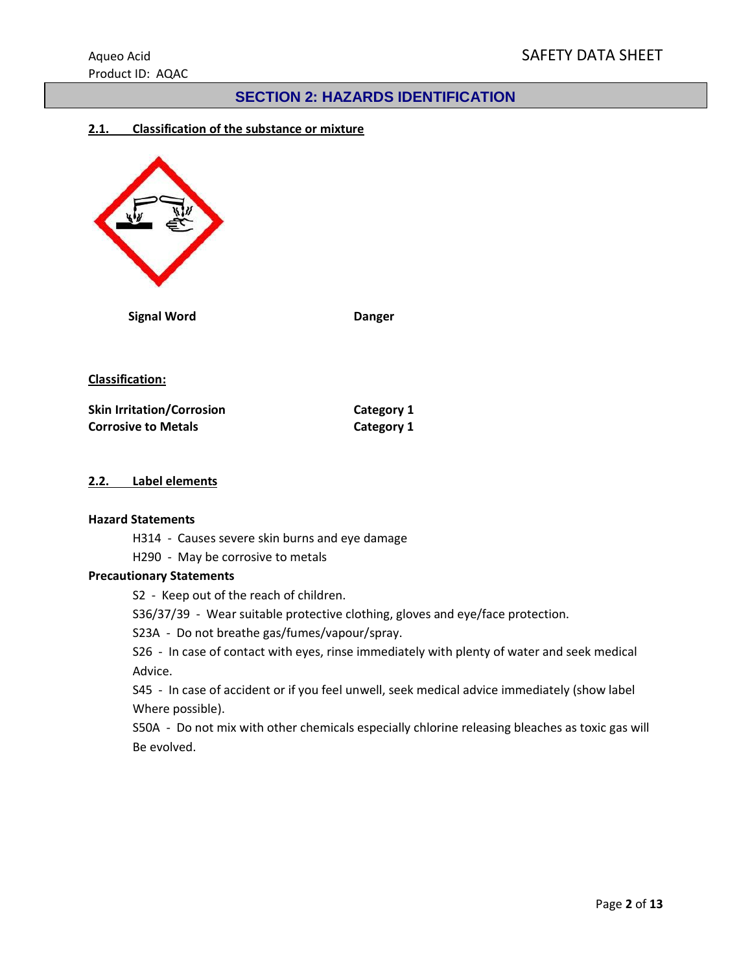### **SECTION 2: HAZARDS IDENTIFICATION**

### **2.1. Classification of the substance or mixture**



 **Signal Word Danger**

**Classification:**

| <b>Skin Irritation/Corrosion</b> | <b>Category 1</b> |
|----------------------------------|-------------------|
| <b>Corrosive to Metals</b>       | <b>Category 1</b> |

#### **2.2. Label elements**

#### **Hazard Statements**

H314 - Causes severe skin burns and eye damage

H290 - May be corrosive to metals

### **Precautionary Statements**

S2 - Keep out of the reach of children.

S36/37/39 - Wear suitable protective clothing, gloves and eye/face protection.

S23A - Do not breathe gas/fumes/vapour/spray.

S26 - In case of contact with eyes, rinse immediately with plenty of water and seek medical Advice.

S45 - In case of accident or if you feel unwell, seek medical advice immediately (show label Where possible).

S50A - Do not mix with other chemicals especially chlorine releasing bleaches as toxic gas will Be evolved.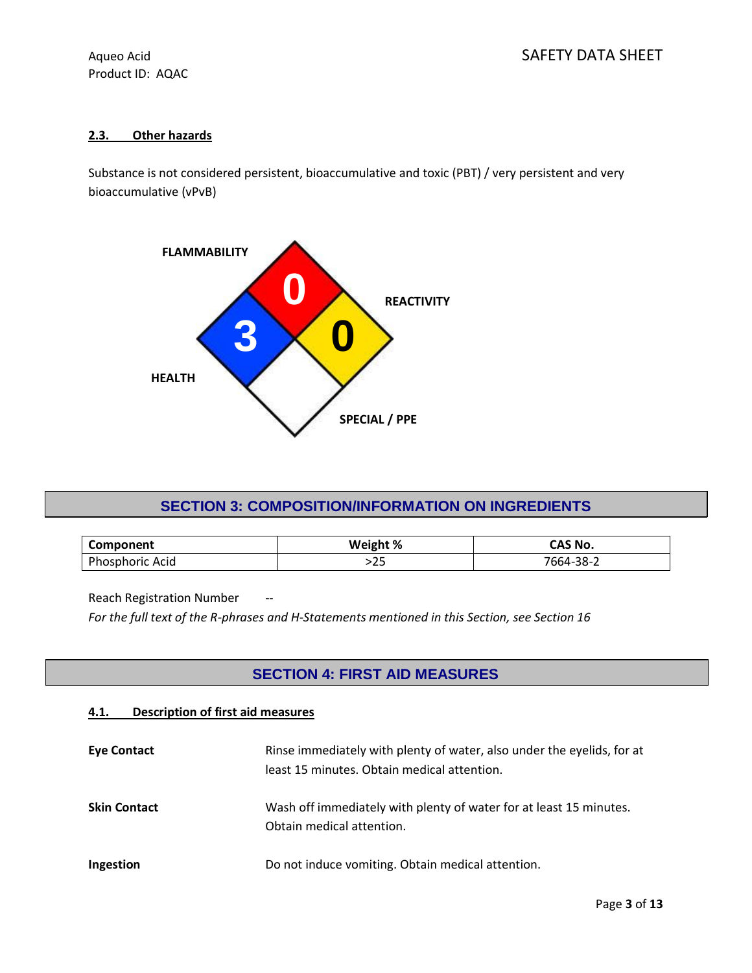### **2.3. Other hazards**

Substance is not considered persistent, bioaccumulative and toxic (PBT) / very persistent and very bioaccumulative (vPvB)



### **SECTION 3: COMPOSITION/INFORMATION ON INGREDIENTS**

| Component               | Weight % | ີ ^ S No.               |
|-------------------------|----------|-------------------------|
| Acid<br>ıorıc<br>nosphr | ر ے      | ລວ<br>$-$ nd-s.<br>3õ-. |

Reach Registration Number --

*For the full text of the R-phrases and H-Statements mentioned in this Section, see Section 16*

### **SECTION 4: FIRST AID MEASURES**

### **4.1. Description of first aid measures**

| <b>Eve Contact</b>  | Rinse immediately with plenty of water, also under the eyelids, for at<br>least 15 minutes. Obtain medical attention. |
|---------------------|-----------------------------------------------------------------------------------------------------------------------|
| <b>Skin Contact</b> | Wash off immediately with plenty of water for at least 15 minutes.<br>Obtain medical attention.                       |
| Ingestion           | Do not induce vomiting. Obtain medical attention.                                                                     |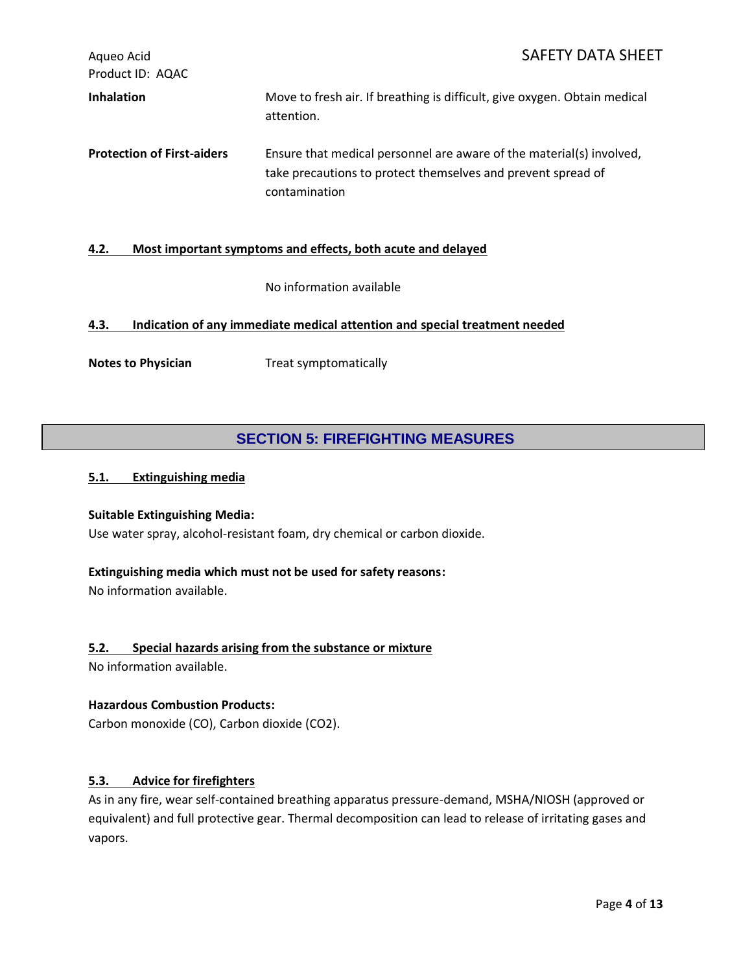Aqueo Acid Acid SAFETY DATA SHEET Product ID: AQAC **Inhalation** Move to fresh air. If breathing is difficult, give oxygen. Obtain medical attention. **Protection of First-aiders** Ensure that medical personnel are aware of the material(s) involved, take precautions to protect themselves and prevent spread of contamination

### **4.2. Most important symptoms and effects, both acute and delayed**

No information available

### **4.3. Indication of any immediate medical attention and special treatment needed**

**Notes to Physician** Treat symptomatically

### **SECTION 5: FIREFIGHTING MEASURES**

### **5.1. Extinguishing media**

#### **Suitable Extinguishing Media:**

Use water spray, alcohol-resistant foam, dry chemical or carbon dioxide.

### **Extinguishing media which must not be used for safety reasons:**

No information available.

### **5.2. Special hazards arising from the substance or mixture**

No information available.

#### **Hazardous Combustion Products:**

Carbon monoxide (CO), Carbon dioxide (CO2).

### **5.3. Advice for firefighters**

As in any fire, wear self-contained breathing apparatus pressure-demand, MSHA/NIOSH (approved or equivalent) and full protective gear. Thermal decomposition can lead to release of irritating gases and vapors.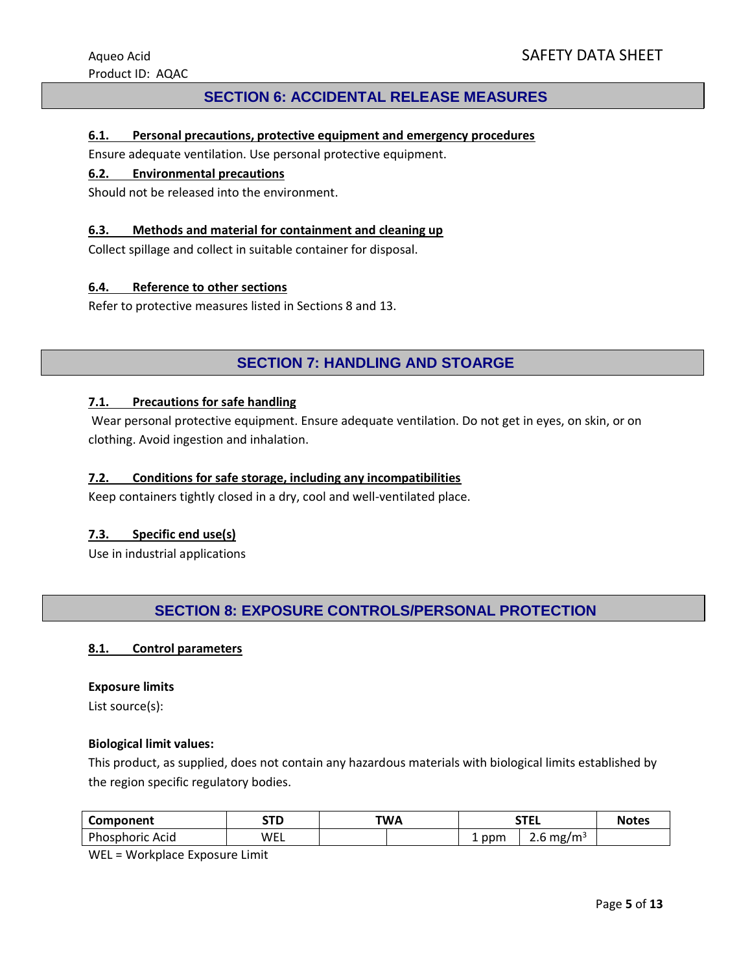### **SECTION 6: ACCIDENTAL RELEASE MEASURES**

### **6.1. Personal precautions, protective equipment and emergency procedures**

Ensure adequate ventilation. Use personal protective equipment.

#### **6.2. Environmental precautions**

Should not be released into the environment.

#### **6.3. Methods and material for containment and cleaning up**

Collect spillage and collect in suitable container for disposal.

#### **6.4. Reference to other sections**

Refer to protective measures listed in Sections 8 and 13.

### **SECTION 7: HANDLING AND STOARGE**

#### **7.1. Precautions for safe handling**

Wear personal protective equipment. Ensure adequate ventilation. Do not get in eyes, on skin, or on clothing. Avoid ingestion and inhalation.

#### **7.2. Conditions for safe storage, including any incompatibilities**

Keep containers tightly closed in a dry, cool and well-ventilated place.

### **7.3. Specific end use(s)**

Use in industrial applications

### **SECTION 8: EXPOSURE CONTROLS/PERSONAL PROTECTION**

#### **8.1. Control parameters**

#### **Exposure limits**

List source(s):

#### **Biological limit values:**

This product, as supplied, does not contain any hazardous materials with biological limits established by the region specific regulatory bodies.

| Component                | $\sim$<br>-- | <b>TWA</b> | ---<br>. . |                               | Notes |
|--------------------------|--------------|------------|------------|-------------------------------|-------|
| Phou<br>Acid<br>osphoric | WEL          |            | ppm        | , mg/mª<br><b>12.5</b><br>z.u |       |

WEL = Workplace Exposure Limit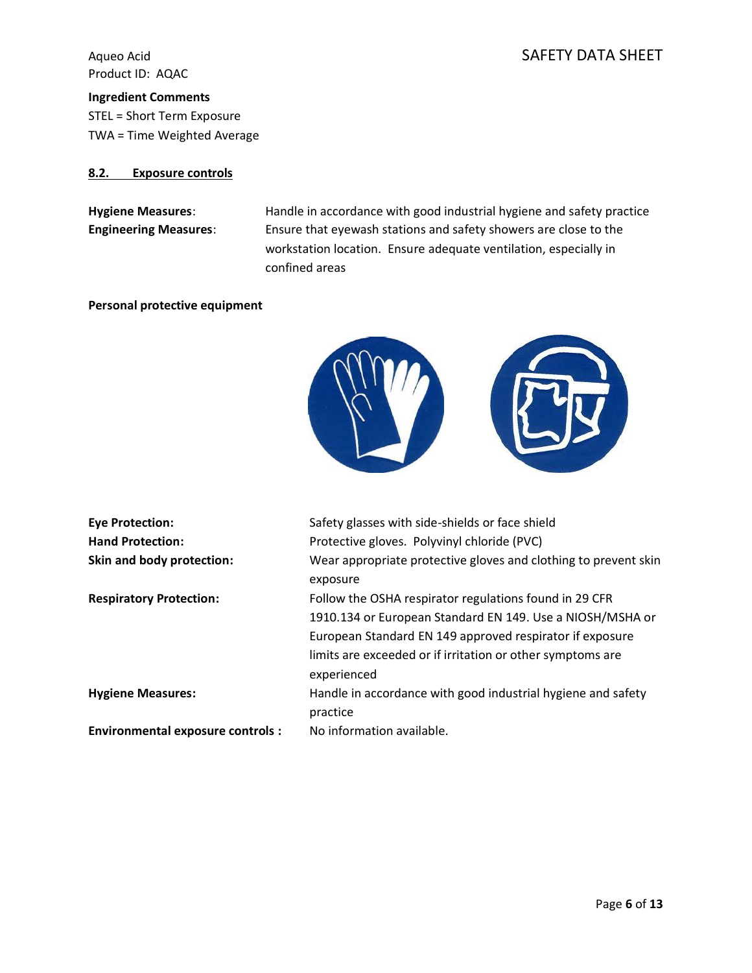### Aqueo Acid Annual SAFETY DATA SHEET

**Ingredient Comments** STEL = Short Term Exposure TWA = Time Weighted Average

#### **8.2. Exposure controls**

Hygiene Measures: Handle in accordance with good industrial hygiene and safety practice **Engineering Measures**: Ensure that eyewash stations and safety showers are close to the workstation location. Ensure adequate ventilation, especially in confined areas

#### **Personal protective equipment**



| <b>Eye Protection:</b>                  | Safety glasses with side-shields or face shield                                                                                                                                                                                                              |
|-----------------------------------------|--------------------------------------------------------------------------------------------------------------------------------------------------------------------------------------------------------------------------------------------------------------|
| <b>Hand Protection:</b>                 | Protective gloves. Polyvinyl chloride (PVC)                                                                                                                                                                                                                  |
| Skin and body protection:               | Wear appropriate protective gloves and clothing to prevent skin<br>exposure                                                                                                                                                                                  |
| <b>Respiratory Protection:</b>          | Follow the OSHA respirator regulations found in 29 CFR<br>1910.134 or European Standard EN 149. Use a NIOSH/MSHA or<br>European Standard EN 149 approved respirator if exposure<br>limits are exceeded or if irritation or other symptoms are<br>experienced |
| <b>Hygiene Measures:</b>                | Handle in accordance with good industrial hygiene and safety<br>practice                                                                                                                                                                                     |
| <b>Environmental exposure controls:</b> | No information available.                                                                                                                                                                                                                                    |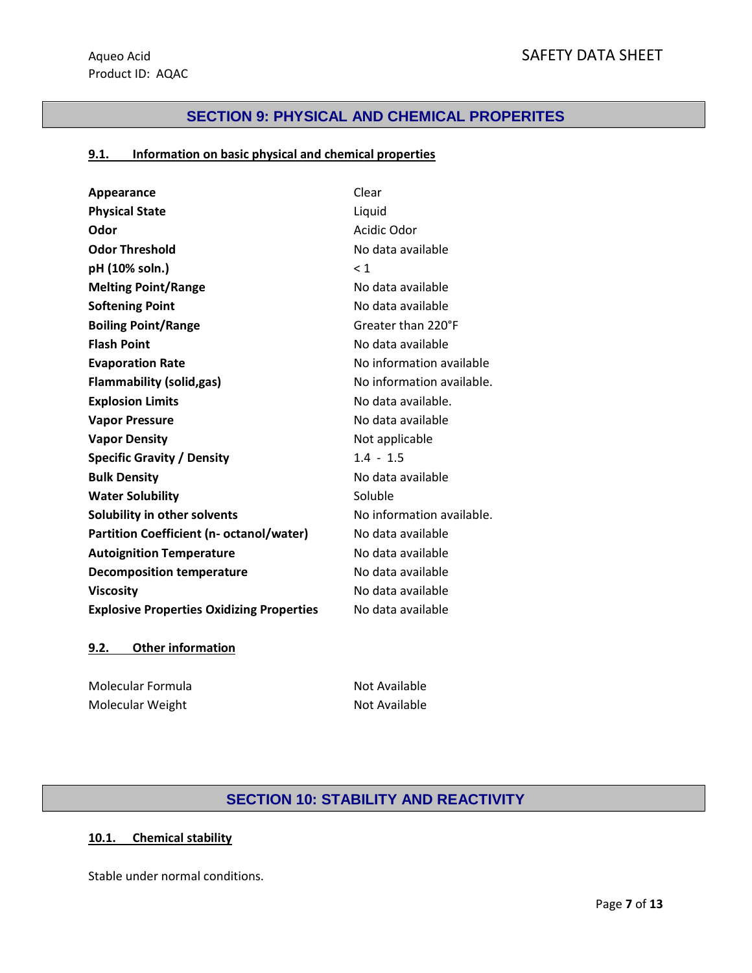### **SECTION 9: PHYSICAL AND CHEMICAL PROPERITES**

### **9.1. Information on basic physical and chemical properties**

| Appearance                                       | Clear                     |
|--------------------------------------------------|---------------------------|
| <b>Physical State</b>                            | Liquid                    |
| Odor                                             | Acidic Odor               |
| <b>Odor Threshold</b>                            | No data available         |
| pH (10% soln.)                                   | $\leq 1$                  |
| <b>Melting Point/Range</b>                       | No data available         |
| <b>Softening Point</b>                           | No data available         |
| <b>Boiling Point/Range</b>                       | Greater than 220°F        |
| <b>Flash Point</b>                               | No data available         |
| <b>Evaporation Rate</b>                          | No information available  |
| <b>Flammability (solid,gas)</b>                  | No information available. |
| <b>Explosion Limits</b>                          | No data available.        |
| <b>Vapor Pressure</b>                            | No data available         |
| <b>Vapor Density</b>                             | Not applicable            |
| <b>Specific Gravity / Density</b>                | $1.4 - 1.5$               |
| <b>Bulk Density</b>                              | No data available         |
| <b>Water Solubility</b>                          | Soluble                   |
| Solubility in other solvents                     | No information available. |
| <b>Partition Coefficient (n- octanol/water)</b>  | No data available         |
| <b>Autoignition Temperature</b>                  | No data available         |
| <b>Decomposition temperature</b>                 | No data available         |
| <b>Viscosity</b>                                 | No data available         |
| <b>Explosive Properties Oxidizing Properties</b> | No data available         |

### **9.2. Other information**

Molecular Formula Not Available Molecular Weight Not Available

### **SECTION 10: STABILITY AND REACTIVITY**

### **10.1. Chemical stability**

Stable under normal conditions.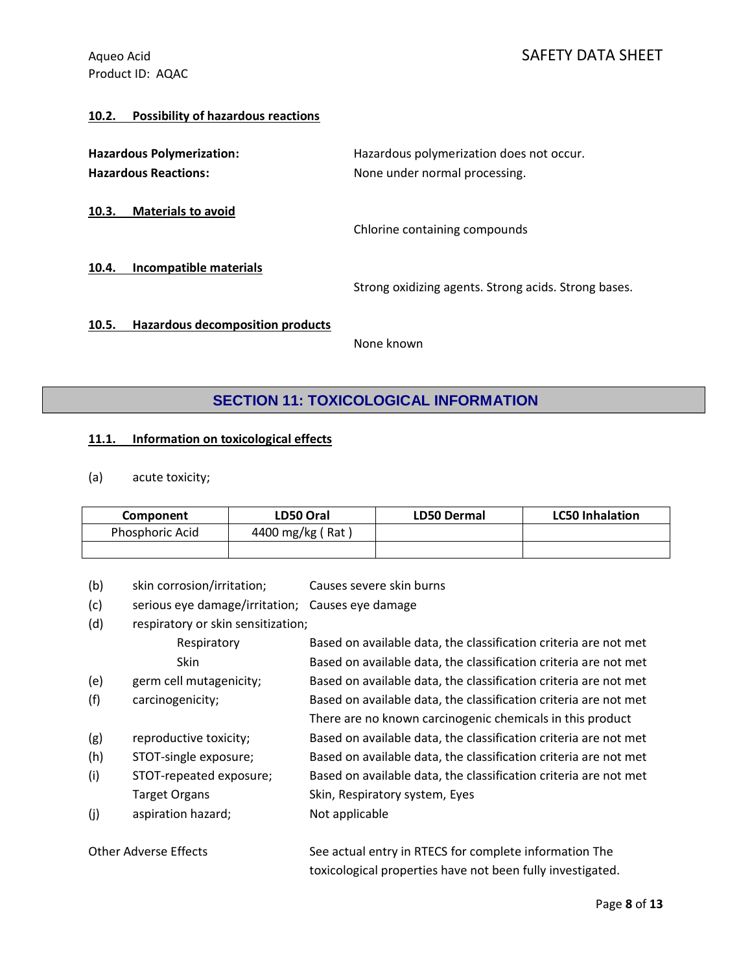### Aqueo Acid Annual SAFETY DATA SHEET

### **10.2. Possibility of hazardous reactions**

| <b>Hazardous Polymerization:</b><br><b>Hazardous Reactions:</b> |                                         | Hazardous polymerization does not occur.<br>None under normal processing. |  |
|-----------------------------------------------------------------|-----------------------------------------|---------------------------------------------------------------------------|--|
| 10.3.                                                           | <b>Materials to avoid</b>               | Chlorine containing compounds                                             |  |
| 10.4.                                                           | Incompatible materials                  | Strong oxidizing agents. Strong acids. Strong bases.                      |  |
| 10.5.                                                           | <b>Hazardous decomposition products</b> | None known                                                                |  |

## **SECTION 11: TOXICOLOGICAL INFORMATION**

### **11.1. Information on toxicological effects**

(a) acute toxicity;

| <b>Component</b> | <b>LD50 Oral</b> | <b>LD50 Dermal</b> | <b>LC50 Inhalation</b> |
|------------------|------------------|--------------------|------------------------|
| Phosphoric Acid  | 4400 mg/kg (Rat) |                    |                        |
|                  |                  |                    |                        |

- (b) skin corrosion/irritation; Causes severe skin burns
- (c) serious eye damage/irritation; Causes eye damage
- (d) respiratory or skin sensitization;

|     | Respiratory             | Based on available data, the classification criteria are not met |
|-----|-------------------------|------------------------------------------------------------------|
|     | Skin                    | Based on available data, the classification criteria are not met |
| (e) | germ cell mutagenicity; | Based on available data, the classification criteria are not met |
| (f) | carcinogenicity;        | Based on available data, the classification criteria are not met |
|     |                         | There are no known carcinogenic chemicals in this product        |
| (g) | reproductive toxicity;  | Based on available data, the classification criteria are not met |
| (h) | STOT-single exposure;   | Based on available data, the classification criteria are not met |
| (i) | STOT-repeated exposure; | Based on available data, the classification criteria are not met |
|     | <b>Target Organs</b>    | Skin, Respiratory system, Eyes                                   |
| (j) | aspiration hazard;      | Not applicable                                                   |
|     |                         |                                                                  |

| Other Adverse Effects | See actual entry in RTECS for complete information The     |
|-----------------------|------------------------------------------------------------|
|                       | toxicological properties have not been fully investigated. |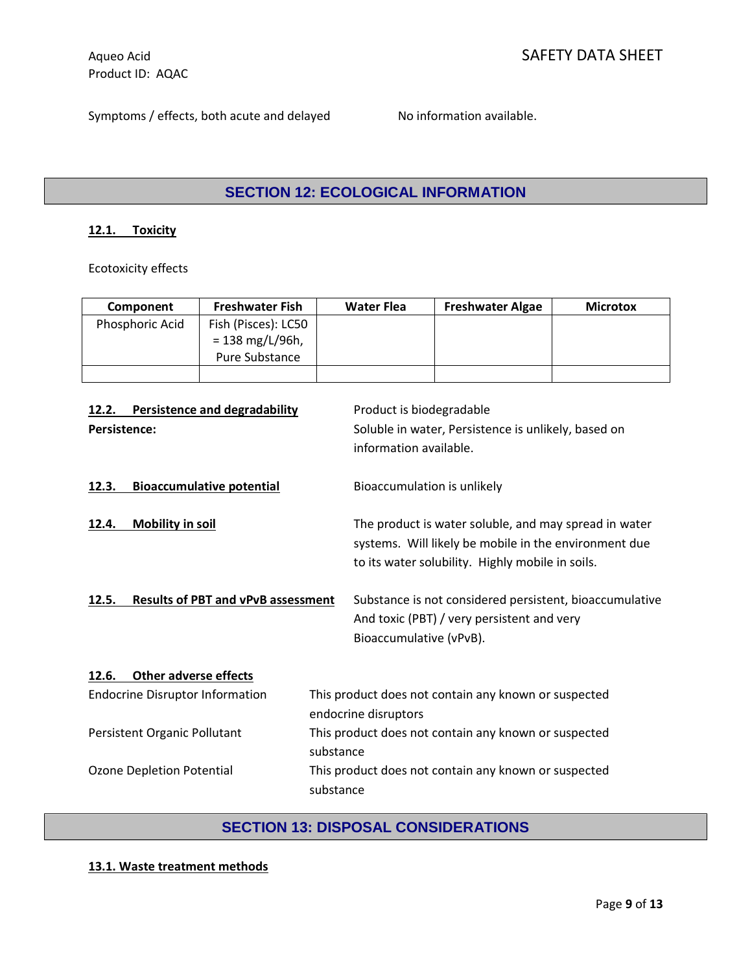Symptoms / effects, both acute and delayed No information available.

## **SECTION 12: ECOLOGICAL INFORMATION**

### **12.1. Toxicity**

Ecotoxicity effects

| <b>Component</b> | <b>Freshwater Fish</b>                                     | <b>Water Flea</b> | <b>Freshwater Algae</b> | <b>Microtox</b> |
|------------------|------------------------------------------------------------|-------------------|-------------------------|-----------------|
| Phosphoric Acid  | Fish (Pisces): LC50<br>$= 138$ mg/L/96h,<br>Pure Substance |                   |                         |                 |
|                  |                                                            |                   |                         |                 |

| <b>Persistence and degradability</b><br>12.2.<br><b>Persistence:</b> | Product is biodegradable<br>Soluble in water, Persistence is unlikely, based on<br>information available.                                                          |  |
|----------------------------------------------------------------------|--------------------------------------------------------------------------------------------------------------------------------------------------------------------|--|
| <b>Bioaccumulative potential</b><br>12.3.                            | Bioaccumulation is unlikely                                                                                                                                        |  |
| <b>Mobility in soil</b><br>12.4.                                     | The product is water soluble, and may spread in water<br>systems. Will likely be mobile in the environment due<br>to its water solubility. Highly mobile in soils. |  |
| <b>Results of PBT and vPvB assessment</b><br>12.5.                   | Substance is not considered persistent, bioaccumulative<br>And toxic (PBT) / very persistent and very<br>Bioaccumulative (vPvB).                                   |  |
| <b>Other adverse effects</b><br>12.6.                                |                                                                                                                                                                    |  |
| <b>Endocrine Disruptor Information</b>                               | This product does not contain any known or suspected<br>endocrine disruptors                                                                                       |  |
| Persistent Organic Pollutant                                         | This product does not contain any known or suspected<br>substance                                                                                                  |  |
| Ozone Depletion Potential                                            | This product does not contain any known or suspected<br>substance                                                                                                  |  |

### **SECTION 13: DISPOSAL CONSIDERATIONS**

### **13.1. Waste treatment methods**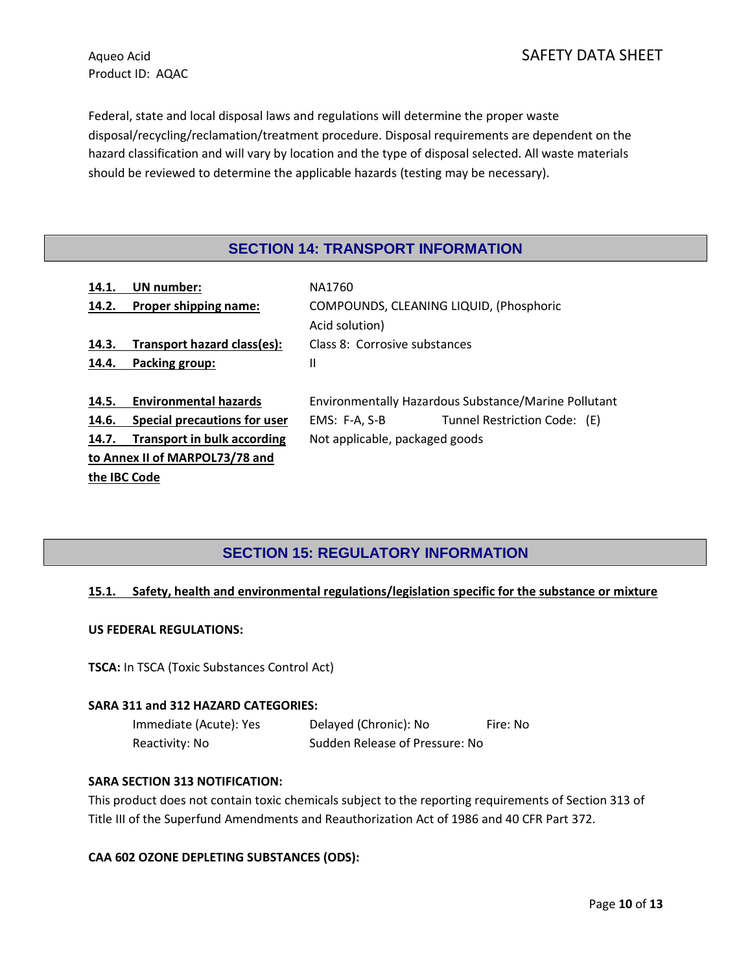Federal, state and local disposal laws and regulations will determine the proper waste disposal/recycling/reclamation/treatment procedure. Disposal requirements are dependent on the hazard classification and will vary by location and the type of disposal selected. All waste materials should be reviewed to determine the applicable hazards (testing may be necessary).

### **SECTION 14: TRANSPORT INFORMATION**

| 14.1. | UN number:                         | NA1760                                               |                              |  |
|-------|------------------------------------|------------------------------------------------------|------------------------------|--|
| 14.2. | Proper shipping name:              | COMPOUNDS, CLEANING LIQUID, (Phosphoric              |                              |  |
|       |                                    | Acid solution)                                       |                              |  |
| 14.3. | Transport hazard class(es):        | Class 8: Corrosive substances                        |                              |  |
| 14.4. | Packing group:                     | Ш                                                    |                              |  |
|       |                                    |                                                      |                              |  |
| 14.5. | <b>Environmental hazards</b>       | Environmentally Hazardous Substance/Marine Pollutant |                              |  |
|       |                                    |                                                      |                              |  |
| 14.6. | Special precautions for user       | EMS: F-A, S-B                                        | Tunnel Restriction Code: (E) |  |
| 14.7. | <b>Transport in bulk according</b> | Not applicable, packaged goods                       |                              |  |
|       | to Annex II of MARPOL73/78 and     |                                                      |                              |  |

### **SECTION 15: REGULATORY INFORMATION**

### **15.1. Safety, health and environmental regulations/legislation specific for the substance or mixture**

#### **US FEDERAL REGULATIONS:**

**TSCA:** In TSCA (Toxic Substances Control Act)

#### **SARA 311 and 312 HAZARD CATEGORIES:**

Immediate (Acute): Yes Delayed (Chronic): No Fire: No Reactivity: No Sudden Release of Pressure: No

#### **SARA SECTION 313 NOTIFICATION:**

This product does not contain toxic chemicals subject to the reporting requirements of Section 313 of Title III of the Superfund Amendments and Reauthorization Act of 1986 and 40 CFR Part 372.

### **CAA 602 OZONE DEPLETING SUBSTANCES (ODS):**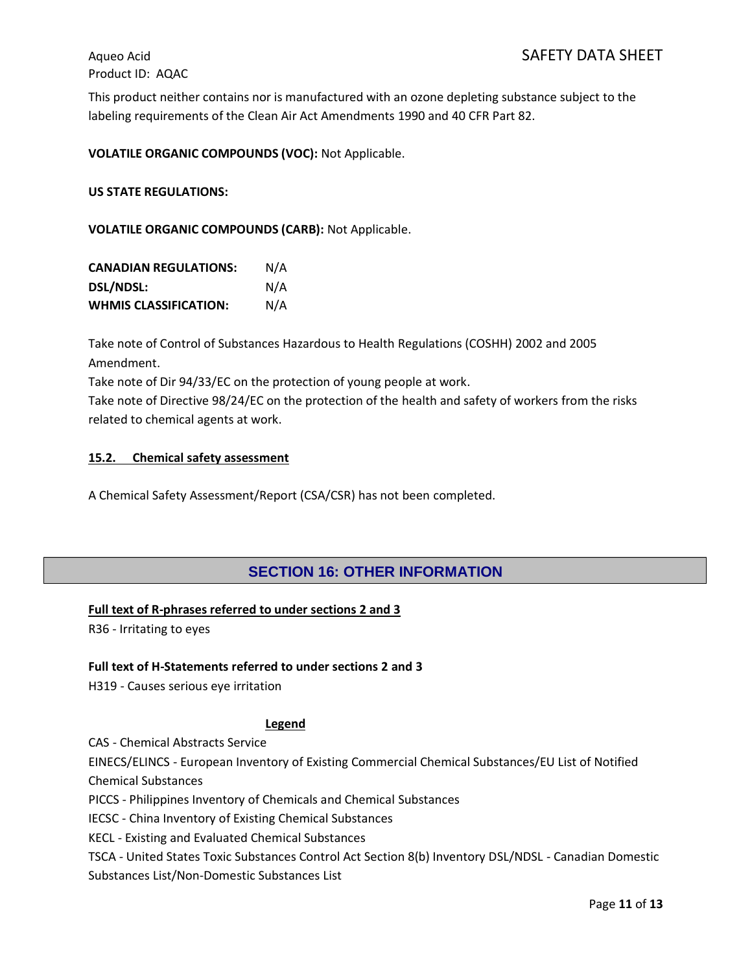This product neither contains nor is manufactured with an ozone depleting substance subject to the labeling requirements of the Clean Air Act Amendments 1990 and 40 CFR Part 82.

**VOLATILE ORGANIC COMPOUNDS (VOC):** Not Applicable.

**US STATE REGULATIONS:**

**VOLATILE ORGANIC COMPOUNDS (CARB):** Not Applicable.

| <b>CANADIAN REGULATIONS:</b> | N/A |
|------------------------------|-----|
| <b>DSL/NDSL:</b>             | N/A |
| <b>WHMIS CLASSIFICATION:</b> | N/A |

Take note of Control of Substances Hazardous to Health Regulations (COSHH) 2002 and 2005 Amendment.

Take note of Dir 94/33/EC on the protection of young people at work.

Take note of Directive 98/24/EC on the protection of the health and safety of workers from the risks related to chemical agents at work.

#### **15.2. Chemical safety assessment**

A Chemical Safety Assessment/Report (CSA/CSR) has not been completed.

### **SECTION 16: OTHER INFORMATION**

### **Full text of R-phrases referred to under sections 2 and 3**

R36 - Irritating to eyes

### **Full text of H-Statements referred to under sections 2 and 3**

H319 - Causes serious eye irritation

#### **Legend**

CAS - Chemical Abstracts Service

EINECS/ELINCS - European Inventory of Existing Commercial Chemical Substances/EU List of Notified Chemical Substances

PICCS - Philippines Inventory of Chemicals and Chemical Substances

IECSC - China Inventory of Existing Chemical Substances

KECL - Existing and Evaluated Chemical Substances

TSCA - United States Toxic Substances Control Act Section 8(b) Inventory DSL/NDSL - Canadian Domestic Substances List/Non-Domestic Substances List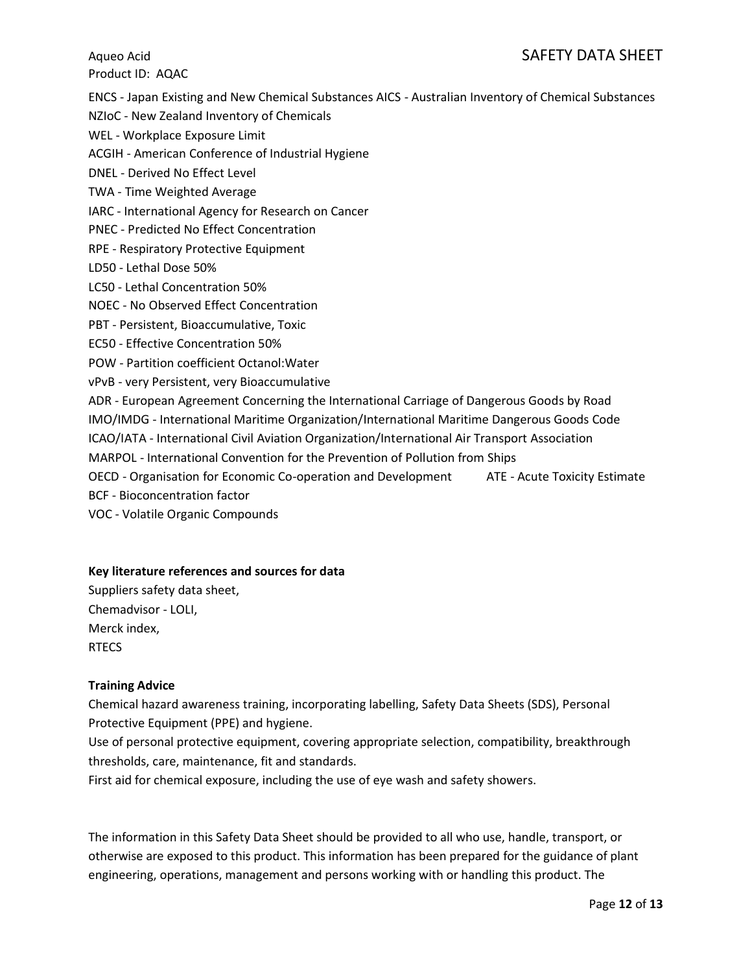### Aqueo Acid Acid SAFETY DATA SHEET

Product ID: AQAC

ENCS - Japan Existing and New Chemical Substances AICS - Australian Inventory of Chemical Substances

NZIoC - New Zealand Inventory of Chemicals

WEL - Workplace Exposure Limit

ACGIH - American Conference of Industrial Hygiene

DNEL - Derived No Effect Level

TWA - Time Weighted Average

IARC - International Agency for Research on Cancer

PNEC - Predicted No Effect Concentration

RPE - Respiratory Protective Equipment

LD50 - Lethal Dose 50%

LC50 - Lethal Concentration 50%

NOEC - No Observed Effect Concentration

PBT - Persistent, Bioaccumulative, Toxic

EC50 - Effective Concentration 50%

POW - Partition coefficient Octanol:Water

vPvB - very Persistent, very Bioaccumulative

ADR - European Agreement Concerning the International Carriage of Dangerous Goods by Road

IMO/IMDG - International Maritime Organization/International Maritime Dangerous Goods Code

ICAO/IATA - International Civil Aviation Organization/International Air Transport Association

MARPOL - International Convention for the Prevention of Pollution from Ships

OECD - Organisation for Economic Co-operation and Development ATE - Acute Toxicity Estimate BCF - Bioconcentration factor

VOC - Volatile Organic Compounds

### **Key literature references and sources for data**

Suppliers safety data sheet, Chemadvisor - LOLI, Merck index, **RTECS** 

### **Training Advice**

Chemical hazard awareness training, incorporating labelling, Safety Data Sheets (SDS), Personal Protective Equipment (PPE) and hygiene.

Use of personal protective equipment, covering appropriate selection, compatibility, breakthrough thresholds, care, maintenance, fit and standards.

First aid for chemical exposure, including the use of eye wash and safety showers.

The information in this Safety Data Sheet should be provided to all who use, handle, transport, or otherwise are exposed to this product. This information has been prepared for the guidance of plant engineering, operations, management and persons working with or handling this product. The